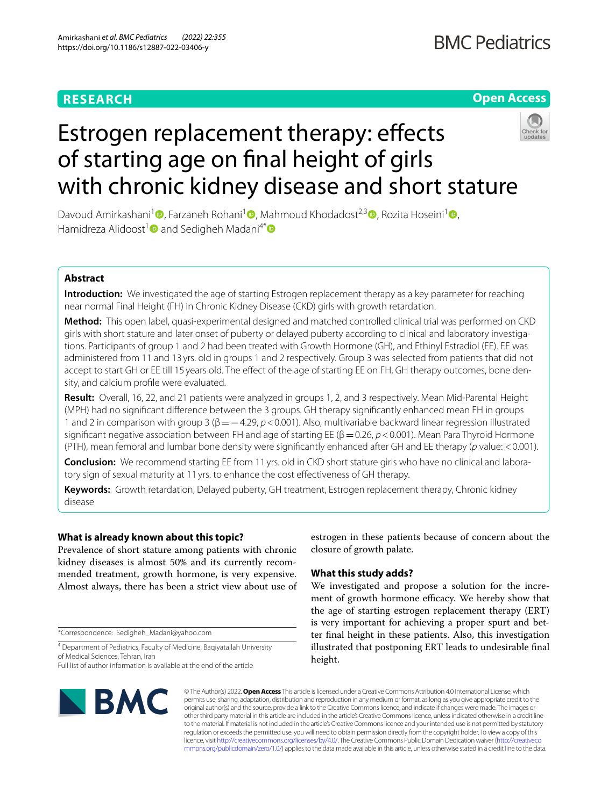# **RESEARCH**

# **Open Access**



# Estrogen replacement therapy: effects of starting age on fnal height of girls with chronic kidney disease and short stature

Davoud Amirkashani<sup>[1](https://orcid.org/0000-0002-2277-4862)</sup> [,](https://orcid.org/0000-0003-2851-4727) Farzaneh Rohani<sup>1</sup> , Mahmoud Khodadost<sup>2,3</sup> , Rozita Hoseini<sup>1</sup> , Hamidreza Alidoost<sup>1</sup> and Sedigheh Madani<sup>4\*</sup>

# **Abstract**

**Introduction:** We investigated the age of starting Estrogen replacement therapy as a key parameter for reaching near normal Final Height (FH) in Chronic Kidney Disease (CKD) girls with growth retardation.

**Method:** This open label, quasi-experimental designed and matched controlled clinical trial was performed on CKD girls with short stature and later onset of puberty or delayed puberty according to clinical and laboratory investigations. Participants of group 1 and 2 had been treated with Growth Hormone (GH), and Ethinyl Estradiol (EE). EE was administered from 11 and 13 yrs. old in groups 1 and 2 respectively. Group 3 was selected from patients that did not accept to start GH or EE till 15 years old. The effect of the age of starting EE on FH, GH therapy outcomes, bone density, and calcium profle were evaluated.

**Result:** Overall, 16, 22, and 21 patients were analyzed in groups 1, 2, and 3 respectively. Mean Mid-Parental Height (MPH) had no signifcant diference between the 3 groups. GH therapy signifcantly enhanced mean FH in groups 1 and 2 in comparison with group 3 (β=−4.29, *p*<0.001). Also, multivariable backward linear regression illustrated significant negative association between FH and age of starting EE (β = 0.26, *p* < 0.001). Mean Para Thyroid Hormone (PTH), mean femoral and lumbar bone density were signifcantly enhanced after GH and EE therapy (*p* value: <0.001).

**Conclusion:** We recommend starting EE from 11 yrs. old in CKD short stature girls who have no clinical and laboratory sign of sexual maturity at 11 yrs. to enhance the cost efectiveness of GH therapy.

**Keywords:** Growth retardation, Delayed puberty, GH treatment, Estrogen replacement therapy, Chronic kidney disease

# **What is already known about this topic?**

Prevalence of short stature among patients with chronic kidney diseases is almost 50% and its currently recommended treatment, growth hormone, is very expensive. Almost always, there has been a strict view about use of

\*Correspondence: Sedigheh\_Madani@yahoo.com

<sup>4</sup> Department of Pediatrics, Faculty of Medicine, Baqiyatallah University of Medical Sciences, Tehran, Iran Full list of author information is available at the end of the article

estrogen in these patients because of concern about the closure of growth palate.

# **What this study adds?**

We investigated and propose a solution for the increment of growth hormone efficacy. We hereby show that the age of starting estrogen replacement therapy (ERT) is very important for achieving a proper spurt and better fnal height in these patients. Also, this investigation illustrated that postponing ERT leads to undesirable fnal height.



© The Author(s) 2022. **Open Access** This article is licensed under a Creative Commons Attribution 4.0 International License, which permits use, sharing, adaptation, distribution and reproduction in any medium or format, as long as you give appropriate credit to the original author(s) and the source, provide a link to the Creative Commons licence, and indicate if changes were made. The images or other third party material in this article are included in the article's Creative Commons licence, unless indicated otherwise in a credit line to the material. If material is not included in the article's Creative Commons licence and your intended use is not permitted by statutory regulation or exceeds the permitted use, you will need to obtain permission directly from the copyright holder. To view a copy of this licence, visit [http://creativecommons.org/licenses/by/4.0/.](http://creativecommons.org/licenses/by/4.0/) The Creative Commons Public Domain Dedication waiver ([http://creativeco](http://creativecommons.org/publicdomain/zero/1.0/) [mmons.org/publicdomain/zero/1.0/](http://creativecommons.org/publicdomain/zero/1.0/)) applies to the data made available in this article, unless otherwise stated in a credit line to the data.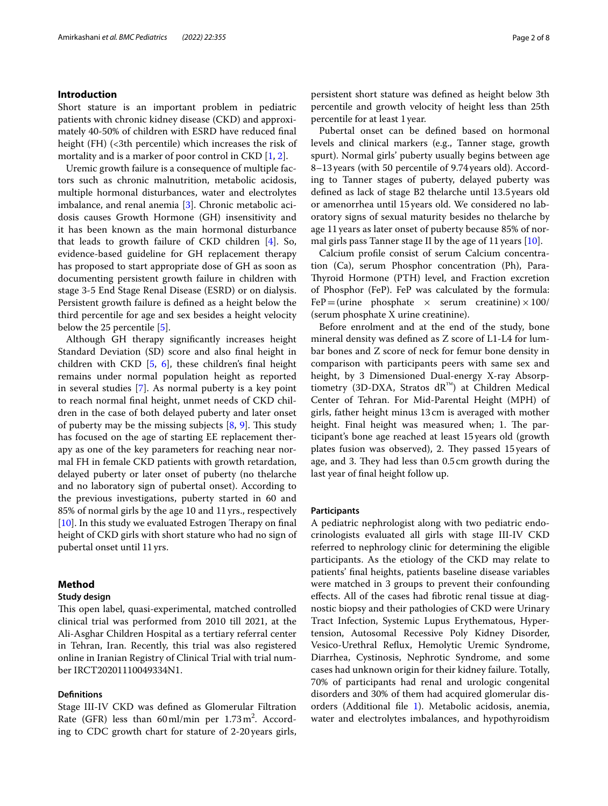# **Introduction**

Short stature is an important problem in pediatric patients with chronic kidney disease (CKD) and approximately 40-50% of children with ESRD have reduced fnal height (FH) (<3th percentile) which increases the risk of mortality and is a marker of poor control in CKD [[1,](#page-7-0) [2\]](#page-7-1).

Uremic growth failure is a consequence of multiple factors such as chronic malnutrition, metabolic acidosis, multiple hormonal disturbances, water and electrolytes imbalance, and renal anemia [[3\]](#page-7-2). Chronic metabolic acidosis causes Growth Hormone (GH) insensitivity and it has been known as the main hormonal disturbance that leads to growth failure of CKD children [[4\]](#page-7-3). So, evidence-based guideline for GH replacement therapy has proposed to start appropriate dose of GH as soon as documenting persistent growth failure in children with stage 3-5 End Stage Renal Disease (ESRD) or on dialysis. Persistent growth failure is defned as a height below the third percentile for age and sex besides a height velocity below the 25 percentile [[5\]](#page-7-4).

Although GH therapy signifcantly increases height Standard Deviation (SD) score and also fnal height in children with CKD [[5](#page-7-4), [6](#page-7-5)], these children's fnal height remains under normal population height as reported in several studies [[7\]](#page-7-6). As normal puberty is a key point to reach normal fnal height, unmet needs of CKD children in the case of both delayed puberty and later onset of puberty may be the missing subjects  $[8, 9]$  $[8, 9]$  $[8, 9]$  $[8, 9]$ . This study has focused on the age of starting EE replacement therapy as one of the key parameters for reaching near normal FH in female CKD patients with growth retardation, delayed puberty or later onset of puberty (no thelarche and no laboratory sign of pubertal onset). According to the previous investigations, puberty started in 60 and 85% of normal girls by the age 10 and 11yrs., respectively [ $10$ ]. In this study we evaluated Estrogen Therapy on final height of CKD girls with short stature who had no sign of pubertal onset until 11yrs.

# **Method**

# **Study design**

This open label, quasi-experimental, matched controlled clinical trial was performed from 2010 till 2021, at the Ali-Asghar Children Hospital as a tertiary referral center in Tehran, Iran. Recently, this trial was also registered online in Iranian Registry of Clinical Trial with trial number IRCT20201110049334N1.

## **Defnitions**

Stage III-IV CKD was defned as Glomerular Filtration Rate (GFR) less than  $60 \,\text{ml/min}$  per  $1.73 \,\text{m}^2$ . According to CDC growth chart for stature of 2-20 years girls, persistent short stature was defned as height below 3th percentile and growth velocity of height less than 25th percentile for at least 1year.

Pubertal onset can be defned based on hormonal levels and clinical markers (e.g., Tanner stage, growth spurt). Normal girls' puberty usually begins between age 8–13years (with 50 percentile of 9.74years old). According to Tanner stages of puberty, delayed puberty was defned as lack of stage B2 thelarche until 13.5years old or amenorrhea until 15years old. We considered no laboratory signs of sexual maturity besides no thelarche by age 11years as later onset of puberty because 85% of normal girls pass Tanner stage II by the age of 11years [[10](#page-7-9)].

Calcium profle consist of serum Calcium concentration (Ca), serum Phosphor concentration (Ph), Para-Thyroid Hormone (PTH) level, and Fraction excretion of Phosphor (FeP). FeP was calculated by the formula:  $FeP = (urine-phosphate \times serum creationine) \times 100/$ (serum phosphate X urine creatinine).

Before enrolment and at the end of the study, bone mineral density was defned as Z score of L1-L4 for lumbar bones and Z score of neck for femur bone density in comparison with participants peers with same sex and height, by 3 Dimensioned Dual-energy X-ray Absorptiometry (3D-DXA, Stratos  $dR^{M}$ ) at Children Medical Center of Tehran. For Mid-Parental Height (MPH) of girls, father height minus 13cm is averaged with mother height. Final height was measured when; 1. The participant's bone age reached at least 15years old (growth plates fusion was observed), 2. They passed 15 years of age, and 3. They had less than 0.5 cm growth during the last year of fnal height follow up.

## **Participants**

A pediatric nephrologist along with two pediatric endocrinologists evaluated all girls with stage III-IV CKD referred to nephrology clinic for determining the eligible participants. As the etiology of the CKD may relate to patients' fnal heights, patients baseline disease variables were matched in 3 groups to prevent their confounding efects. All of the cases had fbrotic renal tissue at diagnostic biopsy and their pathologies of CKD were Urinary Tract Infection, Systemic Lupus Erythematous, Hypertension, Autosomal Recessive Poly Kidney Disorder, Vesico-Urethral Refux, Hemolytic Uremic Syndrome, Diarrhea, Cystinosis, Nephrotic Syndrome, and some cases had unknown origin for their kidney failure. Totally, 70% of participants had renal and urologic congenital disorders and 30% of them had acquired glomerular disorders (Additional fle [1\)](#page-6-0). Metabolic acidosis, anemia, water and electrolytes imbalances, and hypothyroidism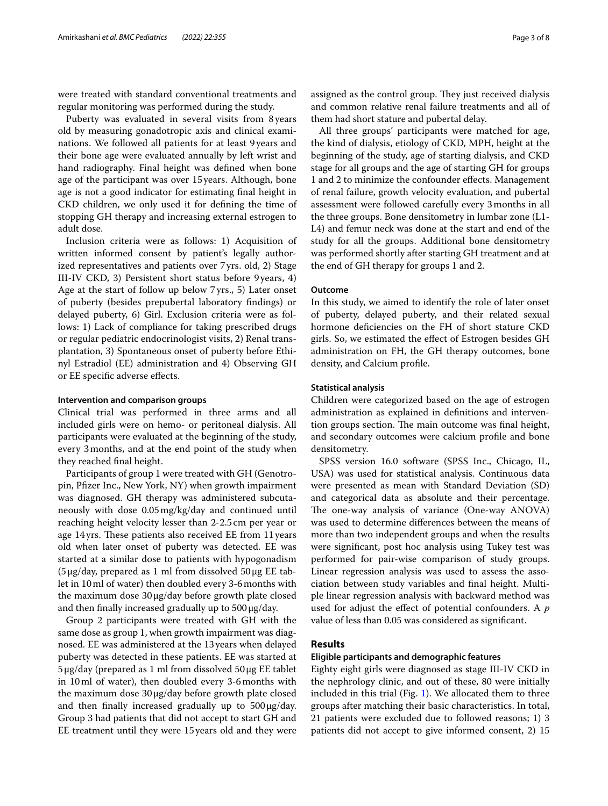were treated with standard conventional treatments and regular monitoring was performed during the study.

Puberty was evaluated in several visits from 8 years old by measuring gonadotropic axis and clinical examinations. We followed all patients for at least 9years and their bone age were evaluated annually by left wrist and hand radiography. Final height was defned when bone age of the participant was over 15years. Although, bone age is not a good indicator for estimating fnal height in CKD children, we only used it for defning the time of stopping GH therapy and increasing external estrogen to adult dose.

Inclusion criteria were as follows: 1) Acquisition of written informed consent by patient's legally authorized representatives and patients over 7yrs. old, 2) Stage III-IV CKD, 3) Persistent short status before 9 years, 4) Age at the start of follow up below 7yrs., 5) Later onset of puberty (besides prepubertal laboratory fndings) or delayed puberty, 6) Girl. Exclusion criteria were as follows: 1) Lack of compliance for taking prescribed drugs or regular pediatric endocrinologist visits, 2) Renal transplantation, 3) Spontaneous onset of puberty before Ethinyl Estradiol (EE) administration and 4) Observing GH or EE specifc adverse efects.

# **Intervention and comparison groups**

Clinical trial was performed in three arms and all included girls were on hemo- or peritoneal dialysis. All participants were evaluated at the beginning of the study, every 3months, and at the end point of the study when they reached fnal height.

Participants of group 1 were treated with GH (Genotropin, Pfzer Inc., New York, NY) when growth impairment was diagnosed. GH therapy was administered subcutaneously with dose 0.05mg/kg/day and continued until reaching height velocity lesser than 2-2.5cm per year or age 14yrs. These patients also received EE from 11 years old when later onset of puberty was detected. EE was started at a similar dose to patients with hypogonadism (5μg/day, prepared as 1 ml from dissolved 50μg EE tablet in 10ml of water) then doubled every 3-6months with the maximum dose 30μg/day before growth plate closed and then finally increased gradually up to  $500 \mu g/day$ .

Group 2 participants were treated with GH with the same dose as group 1, when growth impairment was diagnosed. EE was administered at the 13years when delayed puberty was detected in these patients. EE was started at 5μg/day (prepared as 1 ml from dissolved 50μg EE tablet in 10ml of water), then doubled every 3-6months with the maximum dose 30μg/day before growth plate closed and then finally increased gradually up to  $500 \mu g/day$ . Group 3 had patients that did not accept to start GH and EE treatment until they were 15years old and they were assigned as the control group. They just received dialysis and common relative renal failure treatments and all of them had short stature and pubertal delay.

All three groups' participants were matched for age, the kind of dialysis, etiology of CKD, MPH, height at the beginning of the study, age of starting dialysis, and CKD stage for all groups and the age of starting GH for groups 1 and 2 to minimize the confounder efects. Management of renal failure, growth velocity evaluation, and pubertal assessment were followed carefully every 3months in all the three groups. Bone densitometry in lumbar zone (L1- L4) and femur neck was done at the start and end of the study for all the groups. Additional bone densitometry was performed shortly after starting GH treatment and at the end of GH therapy for groups 1 and 2.

# **Outcome**

In this study, we aimed to identify the role of later onset of puberty, delayed puberty, and their related sexual hormone defciencies on the FH of short stature CKD girls. So, we estimated the efect of Estrogen besides GH administration on FH, the GH therapy outcomes, bone density, and Calcium profle.

# **Statistical analysis**

Children were categorized based on the age of estrogen administration as explained in defnitions and intervention groups section. The main outcome was final height, and secondary outcomes were calcium profle and bone densitometry.

SPSS version 16.0 software (SPSS Inc., Chicago, IL, USA) was used for statistical analysis. Continuous data were presented as mean with Standard Deviation (SD) and categorical data as absolute and their percentage. The one-way analysis of variance (One-way ANOVA) was used to determine diferences between the means of more than two independent groups and when the results were signifcant, post hoc analysis using Tukey test was performed for pair-wise comparison of study groups. Linear regression analysis was used to assess the association between study variables and fnal height. Multiple linear regression analysis with backward method was used for adjust the efect of potential confounders. A *p* value of less than 0.05 was considered as signifcant.

# **Results**

# **Eligible participants and demographic features**

Eighty eight girls were diagnosed as stage III-IV CKD in the nephrology clinic, and out of these, 80 were initially included in this trial (Fig. [1](#page-3-0)). We allocated them to three groups after matching their basic characteristics. In total, 21 patients were excluded due to followed reasons; 1) 3 patients did not accept to give informed consent, 2) 15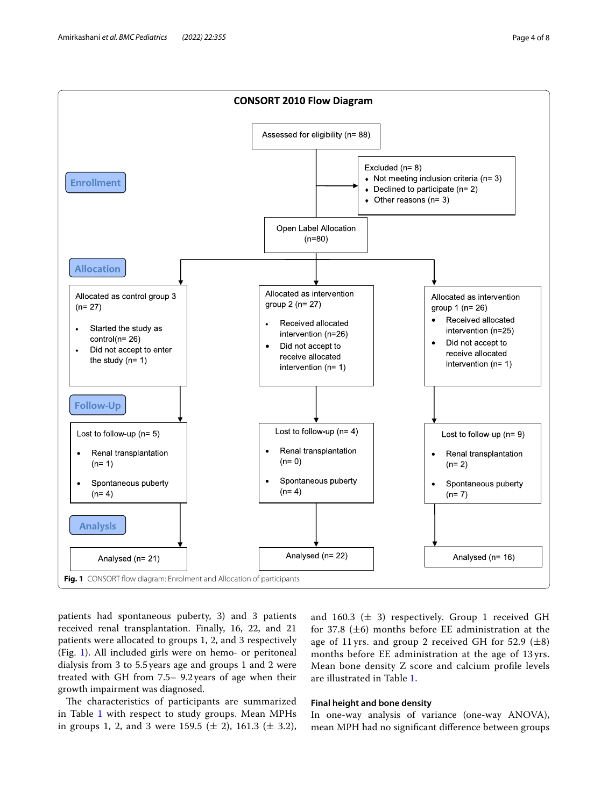

<span id="page-3-0"></span>patients had spontaneous puberty, 3) and 3 patients received renal transplantation. Finally, 16, 22, and 21 patients were allocated to groups 1, 2, and 3 respectively (Fig. [1](#page-3-0)). All included girls were on hemo- or peritoneal dialysis from 3 to 5.5years age and groups 1 and 2 were treated with GH from 7.5– 9.2years of age when their growth impairment was diagnosed.

The characteristics of participants are summarized in Table [1](#page-4-0) with respect to study groups. Mean MPHs in groups 1, 2, and 3 were 159.5 ( $\pm$  2), 161.3 ( $\pm$  3.2), and 160.3 ( $\pm$  3) respectively. Group 1 received GH for 37.8 ( $\pm$ 6) months before EE administration at the age of 11 yrs. and group 2 received GH for 52.9  $(\pm 8)$ months before EE administration at the age of 13 yrs. Mean bone density Z score and calcium profle levels are illustrated in Table [1.](#page-4-0)

# **Final height and bone density**

In one-way analysis of variance (one-way ANOVA), mean MPH had no signifcant diference between groups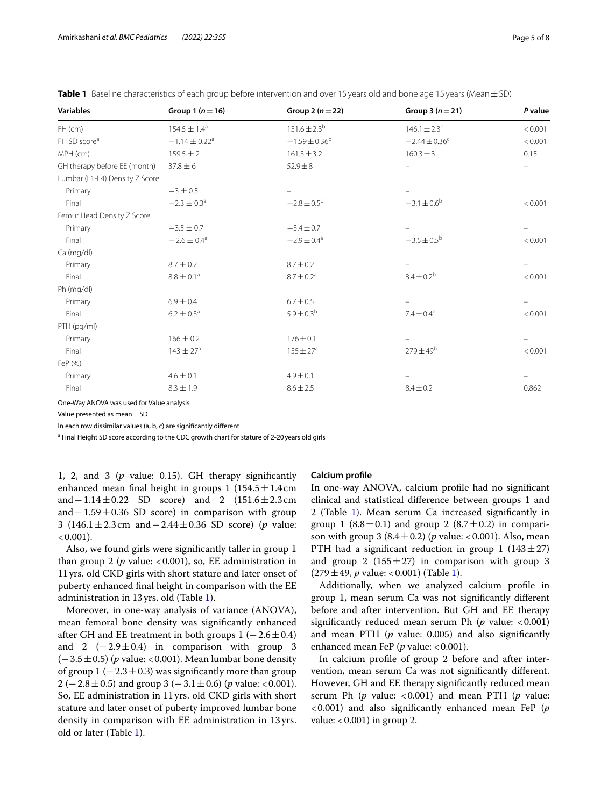| Page 5 of 8 |  |  |
|-------------|--|--|
|             |  |  |

| <b>Variables</b>               | Group 1 $(n=16)$              | Group 2 $(n=22)$            | Group 3 $(n=21)$             | P value |
|--------------------------------|-------------------------------|-----------------------------|------------------------------|---------|
| $FH$ (cm)                      | $154.5 \pm 1.4^a$             | $151.6 \pm 2.3^{b}$         | $146.1 \pm 2.3$ <sup>c</sup> | < 0.001 |
| FH SD score <sup>a</sup>       | $-1.14 \pm 0.22$ <sup>a</sup> | $-1.59 \pm 0.36^{\rm b}$    | $-2.44 \pm 0.36^c$           | < 0.001 |
| MPH (cm)                       | $159.5 \pm 2$                 | $161.3 \pm 3.2$             | $160.3 \pm 3$                | 0.15    |
| GH therapy before EE (month)   | $37.8 \pm 6$                  | $52.9 + 8$                  |                              |         |
| Lumbar (L1-L4) Density Z Score |                               |                             |                              |         |
| Primary                        | $-3 \pm 0.5$                  |                             |                              |         |
| Final                          | $-2.3 \pm 0.3$ <sup>a</sup>   | $-2.8 \pm 0.5^{\rm b}$      | $-3.1 \pm 0.6^{\circ}$       | < 0.001 |
| Femur Head Density Z Score     |                               |                             |                              |         |
| Primary                        | $-3.5 \pm 0.7$                | $-3.4 \pm 0.7$              |                              |         |
| Final                          | $-2.6 \pm 0.4$ <sup>a</sup>   | $-2.9 \pm 0.4$ <sup>a</sup> | $-3.5 \pm 0.5^{\circ}$       | < 0.001 |
| Ca (mg/dl)                     |                               |                             |                              |         |
| Primary                        | $8.7 \pm 0.2$                 | $8.7 \pm 0.2$               |                              |         |
| Final                          | $8.8 \pm 0.1^a$               | $8.7 \pm 0.2^a$             | $8.4 \pm 0.2^{b}$            | < 0.001 |
| Ph (mg/dl)                     |                               |                             |                              |         |
| Primary                        | $6.9 \pm 0.4$                 | $6.7 \pm 0.5$               |                              |         |
| Final                          | $6.2 \pm 0.3^{\circ}$         | $5.9 \pm 0.3^{\rm b}$       | $7.4 \pm 0.4^c$              | < 0.001 |
| PTH (pg/ml)                    |                               |                             |                              |         |
| Primary                        | $166 \pm 0.2$                 | $176 \pm 0.1$               |                              |         |
| Final                          | $143 \pm 27^{\circ}$          | $155 \pm 27^{\circ}$        | $279 \pm 49^{\rm b}$         | < 0.001 |
| FeP (%)                        |                               |                             |                              |         |
| Primary                        | $4.6 \pm 0.1$                 | $4.9 \pm 0.1$               |                              |         |
| Final                          | $8.3 \pm 1.9$                 | $8.6 \pm 2.5$               | $8.4 \pm 0.2$                | 0.862   |

<span id="page-4-0"></span>**Table 1** Baseline characteristics of each group before intervention and over 15 years old and bone age 15 years (Mean $\pm$ SD)

One-Way ANOVA was used for Value analysis

Value presented as mean  $\pm$  SD

In each row dissimilar values (a, b, c) are signifcantly diferent

<sup>a</sup> Final Height SD score according to the CDC growth chart for stature of 2-20 years old girls

1, 2, and 3 (*p* value: 0.15). GH therapy signifcantly enhanced mean final height in groups 1  $(154.5 \pm 1.4 \text{ cm})$ and−1.14±0.22 SD score) and 2 (151.6±2.3cm and  $-1.59 \pm 0.36$  SD score) in comparison with group 3 (146.1±2.3cm and−2.44±0.36 SD score) (*p* value:  $< 0.001$ ).

Also, we found girls were signifcantly taller in group 1 than group 2 ( $p$  value: <0.001), so, EE administration in 11yrs. old CKD girls with short stature and later onset of puberty enhanced fnal height in comparison with the EE administration in 13yrs. old (Table [1\)](#page-4-0).

Moreover, in one-way analysis of variance (ANOVA), mean femoral bone density was signifcantly enhanced after GH and EE treatment in both groups  $1 (-2.6 \pm 0.4)$ and 2  $(-2.9 \pm 0.4)$  in comparison with group 3 (−3.5±0.5) (*p* value: <0.001). Mean lumbar bone density of group 1 ( $-2.3 \pm 0.3$ ) was significantly more than group 2 (−2.8±0.5) and group 3 (−3.1±0.6) (*p* value: <0.001). So, EE administration in 11yrs. old CKD girls with short stature and later onset of puberty improved lumbar bone density in comparison with EE administration in 13 yrs. old or later (Table [1\)](#page-4-0).

## **Calcium profle**

In one-way ANOVA, calcium profle had no signifcant clinical and statistical diference between groups 1 and 2 (Table [1](#page-4-0)). Mean serum Ca increased signifcantly in group 1 (8.8 $\pm$ 0.1) and group 2 (8.7 $\pm$ 0.2) in comparison with group 3  $(8.4 \pm 0.2)$  (*p* value: <0.001). Also, mean PTH had a significant reduction in group 1  $(143 \pm 27)$ and group 2 (155 $\pm$ 27) in comparison with group 3  $(279 \pm 49, p \text{ value}: < 0.001)$  (Table [1](#page-4-0)).

Additionally, when we analyzed calcium profle in group 1, mean serum Ca was not signifcantly diferent before and after intervention. But GH and EE therapy significantly reduced mean serum Ph  $(p \text{ value: } < 0.001)$ and mean PTH (*p* value: 0.005) and also signifcantly enhanced mean FeP (*p* value: <0.001).

In calcium profle of group 2 before and after intervention, mean serum Ca was not signifcantly diferent. However, GH and EE therapy signifcantly reduced mean serum Ph  $(p \text{ value: } < 0.001)$  and mean PTH  $(p \text{ value: }$ <0.001) and also signifcantly enhanced mean FeP (*p* value:  $< 0.001$ ) in group 2.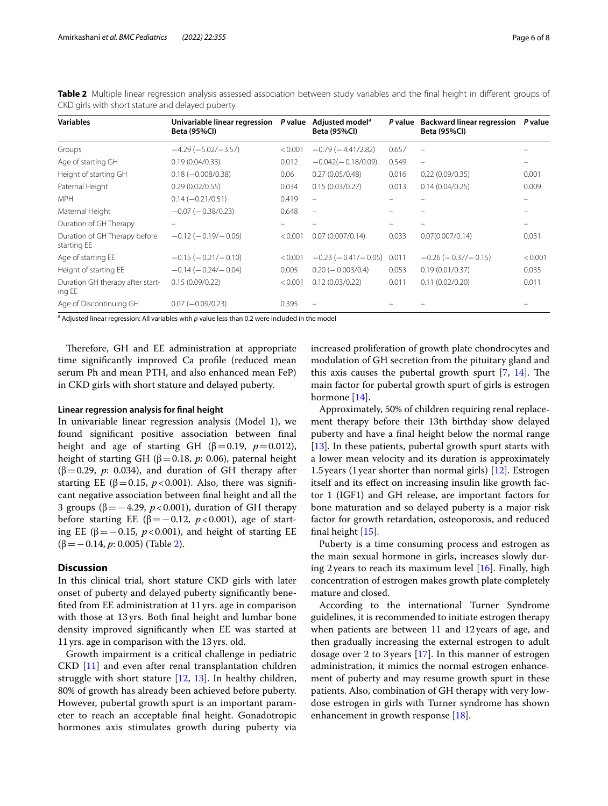| <b>Variables</b>                             | Univariable linear regression<br><b>Beta (95%CI)</b> | P value | Adjusted model <sup>a</sup><br><b>Beta (95%CI)</b> | P value | <b>Backward linear regression</b><br><b>Beta (95%CI)</b> | P value |
|----------------------------------------------|------------------------------------------------------|---------|----------------------------------------------------|---------|----------------------------------------------------------|---------|
| Groups                                       | $-4.29(-5.02/-3.57)$                                 | < 0.001 | $-0.79(-4.41/2.82)$                                | 0.657   | $\overline{\phantom{m}}$                                 |         |
| Age of starting GH                           | 0.19(0.04/0.33)                                      | 0.012   | $-0.042(-0.18/0.09)$                               | 0.549   | ÷                                                        |         |
| Height of starting GH                        | $0.18 (-0.008/0.38)$                                 | 0.06    | 0.27(0.05/0.48)                                    | 0.016   | 0.22(0.09/0.35)                                          | 0.001   |
| Paternal Height                              | 0.29(0.02/0.55)                                      | 0.034   | 0.15(0.03/0.27)                                    | 0.013   | 0.14(0.04/0.25)                                          | 0.009   |
| <b>MPH</b>                                   | $0.14 (-0.21/0.51)$                                  | 0.419   | $\equiv$                                           |         |                                                          |         |
| Maternal Height                              | $-0.07$ ( $-0.38/0.23$ )                             | 0.648   |                                                    |         |                                                          |         |
| Duration of GH Therapy                       |                                                      |         |                                                    |         |                                                          |         |
| Duration of GH Therapy before<br>starting EE | $-0.12$ ( $-0.19$ / $-0.06$ )                        | < 0.001 | 0.07(0.007/0.14)                                   | 0.033   | 0.07(0.007/0.14)                                         | 0.031   |
| Age of starting EE                           | $-0.15$ ( $-0.21/-0.10$ )                            | < 0.001 | $-0.23$ ( $-0.41/-0.05$ )                          | 0.011   | $-0.26$ ( $-0.37/-0.15$ )                                | < 0.001 |
| Height of starting EE                        | $-0.14$ ( $-0.24$ / $-0.04$ )                        | 0.005   | $0.20 (-0.003/0.4)$                                | 0.053   | 0.19(0.01/0.37)                                          | 0.035   |
| Duration GH therapy after start-<br>ing EE   | 0.15(0.09/0.22)                                      | < 0.001 | 0.12(0.03/0.22)                                    | 0.011   | 0.11(0.02/0.20)                                          | 0.011   |
| Age of Discontinuing GH                      | $0.07 (-0.09/0.23)$                                  | 0.395   |                                                    |         |                                                          |         |

<span id="page-5-0"></span>**Table 2** Multiple linear regression analysis assessed association between study variables and the final height in different groups of CKD girls with short stature and delayed puberty

<sup>a</sup> Adjusted linear regression: All variables with p value less than 0.2 were included in the model

Therefore, GH and EE administration at appropriate time signifcantly improved Ca profle (reduced mean serum Ph and mean PTH, and also enhanced mean FeP) in CKD girls with short stature and delayed puberty.

#### **Linear regression analysis for fnal height**

In univariable linear regression analysis (Model 1), we found signifcant positive association between fnal height and age of starting GH ( $\beta$ =0.19, *p*=0.012), height of starting GH (β=0.18, *p*: 0.06), paternal height ( $\beta$ =0.29, *p*: 0.034), and duration of GH therapy after starting EE ( $\beta$ =0.15, *p* <0.001). Also, there was significant negative association between fnal height and all the 3 groups ( $β = -4.29$ ,  $p < 0.001$ ), duration of GH therapy before starting EE ( $β = 0.12$ ,  $p < 0.001$ ), age of starting EE (β=−0.15, *p*<0.001), and height of starting EE (β=−0.14, *p*: 0.005) (Table [2](#page-5-0)).

# **Discussion**

In this clinical trial, short stature CKD girls with later onset of puberty and delayed puberty signifcantly benefted from EE administration at 11yrs. age in comparison with those at 13 yrs. Both fnal height and lumbar bone density improved signifcantly when EE was started at 11yrs. age in comparison with the 13yrs. old.

Growth impairment is a critical challenge in pediatric CKD [[11](#page-7-10)] and even after renal transplantation children struggle with short stature [\[12](#page-7-11), [13\]](#page-7-12). In healthy children, 80% of growth has already been achieved before puberty. However, pubertal growth spurt is an important parameter to reach an acceptable fnal height. Gonadotropic hormones axis stimulates growth during puberty via increased proliferation of growth plate chondrocytes and modulation of GH secretion from the pituitary gland and this axis causes the pubertal growth spurt  $[7, 14]$  $[7, 14]$  $[7, 14]$  $[7, 14]$ . The main factor for pubertal growth spurt of girls is estrogen hormone [[14\]](#page-7-13).

Approximately, 50% of children requiring renal replacement therapy before their 13th birthday show delayed puberty and have a fnal height below the normal range [[13\]](#page-7-12). In these patients, pubertal growth spurt starts with a lower mean velocity and its duration is approximately 1.5years (1year shorter than normal girls) [\[12](#page-7-11)]. Estrogen itself and its efect on increasing insulin like growth factor 1 (IGF1) and GH release, are important factors for bone maturation and so delayed puberty is a major risk factor for growth retardation, osteoporosis, and reduced final height  $[15]$  $[15]$ .

Puberty is a time consuming process and estrogen as the main sexual hormone in girls, increases slowly during 2 years to reach its maximum level  $[16]$  $[16]$ . Finally, high concentration of estrogen makes growth plate completely mature and closed.

According to the international Turner Syndrome guidelines, it is recommended to initiate estrogen therapy when patients are between 11 and 12years of age, and then gradually increasing the external estrogen to adult dosage over 2 to 3years [\[17](#page-7-16)]. In this manner of estrogen administration, it mimics the normal estrogen enhancement of puberty and may resume growth spurt in these patients. Also, combination of GH therapy with very lowdose estrogen in girls with Turner syndrome has shown enhancement in growth response  $[18]$  $[18]$ .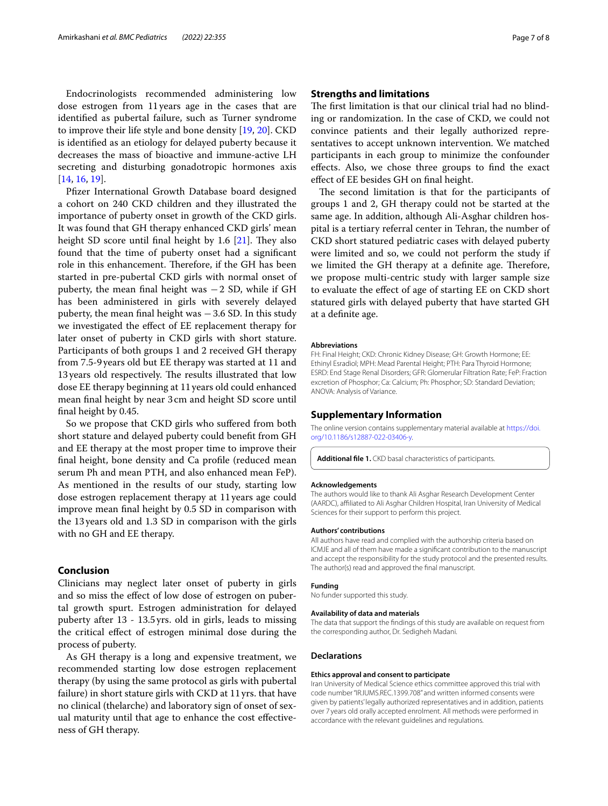Endocrinologists recommended administering low dose estrogen from 11years age in the cases that are identifed as pubertal failure, such as Turner syndrome to improve their life style and bone density [\[19](#page-7-18), [20\]](#page-7-19). CKD is identifed as an etiology for delayed puberty because it decreases the mass of bioactive and immune-active LH secreting and disturbing gonadotropic hormones axis [[14,](#page-7-13) [16](#page-7-15), [19](#page-7-18)].

Pfzer International Growth Database board designed a cohort on 240 CKD children and they illustrated the importance of puberty onset in growth of the CKD girls. It was found that GH therapy enhanced CKD girls' mean height SD score until final height by  $1.6$  [\[21\]](#page-7-20). They also found that the time of puberty onset had a signifcant role in this enhancement. Therefore, if the GH has been started in pre-pubertal CKD girls with normal onset of puberty, the mean final height was  $-2$  SD, while if GH has been administered in girls with severely delayed puberty, the mean final height was  $-3.6$  SD. In this study we investigated the efect of EE replacement therapy for later onset of puberty in CKD girls with short stature. Participants of both groups 1 and 2 received GH therapy from 7.5-9years old but EE therapy was started at 11 and 13 years old respectively. The results illustrated that low dose EE therapy beginning at 11years old could enhanced mean fnal height by near 3 cm and height SD score until fnal height by 0.45.

So we propose that CKD girls who sufered from both short stature and delayed puberty could beneft from GH and EE therapy at the most proper time to improve their fnal height, bone density and Ca profle (reduced mean serum Ph and mean PTH, and also enhanced mean FeP). As mentioned in the results of our study, starting low dose estrogen replacement therapy at 11 years age could improve mean fnal height by 0.5 SD in comparison with the 13years old and 1.3 SD in comparison with the girls with no GH and EE therapy.

# **Conclusion**

Clinicians may neglect later onset of puberty in girls and so miss the efect of low dose of estrogen on pubertal growth spurt. Estrogen administration for delayed puberty after 13 - 13.5 yrs. old in girls, leads to missing the critical efect of estrogen minimal dose during the process of puberty.

As GH therapy is a long and expensive treatment, we recommended starting low dose estrogen replacement therapy (by using the same protocol as girls with pubertal failure) in short stature girls with CKD at 11yrs. that have no clinical (thelarche) and laboratory sign of onset of sexual maturity until that age to enhance the cost efectiveness of GH therapy.

# **Strengths and limitations**

The first limitation is that our clinical trial had no blinding or randomization. In the case of CKD, we could not convince patients and their legally authorized representatives to accept unknown intervention. We matched participants in each group to minimize the confounder efects. Also, we chose three groups to fnd the exact efect of EE besides GH on fnal height.

The second limitation is that for the participants of groups 1 and 2, GH therapy could not be started at the same age. In addition, although Ali-Asghar children hospital is a tertiary referral center in Tehran, the number of CKD short statured pediatric cases with delayed puberty were limited and so, we could not perform the study if we limited the GH therapy at a definite age. Therefore, we propose multi-centric study with larger sample size to evaluate the efect of age of starting EE on CKD short statured girls with delayed puberty that have started GH at a defnite age.

#### **Abbreviations**

FH: Final Height; CKD: Chronic Kidney Disease; GH: Growth Hormone; EE: Ethinyl Esradiol; MPH: Mead Parental Height; PTH: Para Thyroid Hormone; ESRD: End Stage Renal Disorders; GFR: Glomerular Filtration Rate; FeP: Fraction excretion of Phosphor; Ca: Calcium; Ph: Phosphor; SD: Standard Deviation; ANOVA: Analysis of Variance.

#### **Supplementary Information**

The online version contains supplementary material available at [https://doi.](https://doi.org/10.1186/s12887-022-03406-y) [org/10.1186/s12887-022-03406-y.](https://doi.org/10.1186/s12887-022-03406-y)

<span id="page-6-0"></span>**Additional fle 1.** CKD basal characteristics of participants.

#### **Acknowledgements**

The authors would like to thank Ali Asghar Research Development Center (AARDC), afliated to Ali Asghar Children Hospital, Iran University of Medical Sciences for their support to perform this project.

#### **Authors' contributions**

All authors have read and complied with the authorship criteria based on ICMJE and all of them have made a signifcant contribution to the manuscript and accept the responsibility for the study protocol and the presented results. The author(s) read and approved the fnal manuscript.

#### **Funding**

No funder supported this study.

# **Availability of data and materials**

The data that support the fndings of this study are available on request from the corresponding author, Dr. Sedigheh Madani.

#### **Declarations**

#### **Ethics approval and consent to participate**

Iran University of Medical Science ethics committee approved this trial with code number "IR.IUMS.REC.1399.708" and written informed consents were given by patients' legally authorized representatives and in addition, patients over 7 years old orally accepted enrolment. All methods were performed in accordance with the relevant guidelines and regulations.